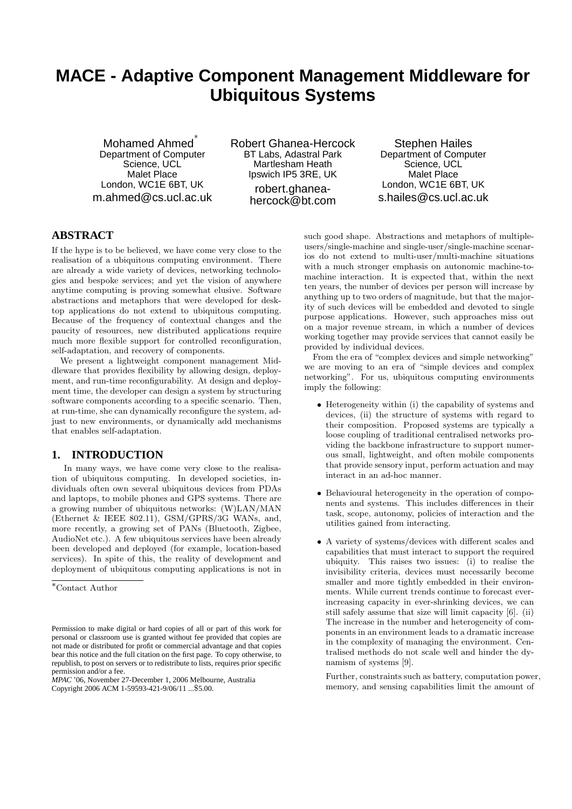# **MACE - Adaptive Component Management Middleware for Ubiquitous Systems**

Mohamed Ahmed<sup>\*</sup> Department of Computer Science, UCL Malet Place London, WC1E 6BT, UK m.ahmed@cs.ucl.ac.uk

Robert Ghanea-Hercock BT Labs, Adastral Park Martlesham Heath Ipswich IP5 3RE, UK robert.ghaneahercock@bt.com

Stephen Hailes Department of Computer Science, UCL Malet Place London, WC1E 6BT, UK s.hailes@cs.ucl.ac.uk

# **ABSTRACT**

If the hype is to be believed, we have come very close to the realisation of a ubiquitous computing environment. There are already a wide variety of devices, networking technologies and bespoke services; and yet the vision of anywhere anytime computing is proving somewhat elusive. Software abstractions and metaphors that were developed for desktop applications do not extend to ubiquitous computing. Because of the frequency of contextual changes and the paucity of resources, new distributed applications require much more flexible support for controlled reconfiguration, self-adaptation, and recovery of components.

We present a lightweight component management Middleware that provides flexibility by allowing design, deployment, and run-time reconfigurability. At design and deployment time, the developer can design a system by structuring software components according to a specific scenario. Then, at run-time, she can dynamically reconfigure the system, adjust to new environments, or dynamically add mechanisms that enables self-adaptation.

### **1. INTRODUCTION**

In many ways, we have come very close to the realisation of ubiquitous computing. In developed societies, individuals often own several ubiquitous devices from PDAs and laptops, to mobile phones and GPS systems. There are a growing number of ubiquitous networks: (W)LAN/MAN (Ethernet & IEEE 802.11), GSM/GPRS/3G WANs, and, more recently, a growing set of PANs (Bluetooth, Zigbee, AudioNet etc.). A few ubiquitous services have been already been developed and deployed (for example, location-based services). In spite of this, the reality of development and deployment of ubiquitous computing applications is not in such good shape. Abstractions and metaphors of multipleusers/single-machine and single-user/single-machine scenarios do not extend to multi-user/multi-machine situations with a much stronger emphasis on autonomic machine-tomachine interaction. It is expected that, within the next ten years, the number of devices per person will increase by anything up to two orders of magnitude, but that the majority of such devices will be embedded and devoted to single purpose applications. However, such approaches miss out on a major revenue stream, in which a number of devices working together may provide services that cannot easily be provided by individual devices.

From the era of "complex devices and simple networking" we are moving to an era of "simple devices and complex networking". For us, ubiquitous computing environments imply the following:

- Heterogeneity within (i) the capability of systems and devices, (ii) the structure of systems with regard to their composition. Proposed systems are typically a loose coupling of traditional centralised networks providing the backbone infrastructure to support numerous small, lightweight, and often mobile components that provide sensory input, perform actuation and may interact in an ad-hoc manner.
- Behavioural heterogeneity in the operation of components and systems. This includes differences in their task, scope, autonomy, policies of interaction and the utilities gained from interacting.
- A variety of systems/devices with different scales and capabilities that must interact to support the required ubiquity. This raises two issues: (i) to realise the invisibility criteria, devices must necessarily become smaller and more tightly embedded in their environments. While current trends continue to forecast everincreasing capacity in ever-shrinking devices, we can still safely assume that size will limit capacity [6]. (ii) The increase in the number and heterogeneity of components in an environment leads to a dramatic increase in the complexity of managing the environment. Centralised methods do not scale well and hinder the dynamism of systems [9].

Further, constraints such as battery, computation power, memory, and sensing capabilities limit the amount of

<sup>∗</sup>Contact Author

Permission to make digital or hard copies of all or part of this work for personal or classroom use is granted without fee provided that copies are not made or distributed for profit or commercial advantage and that copies bear this notice and the full citation on the first page. To copy otherwise, to republish, to post on servers or to redistribute to lists, requires prior specific permission and/or a fee.

*MPAC* '06, November 27-December 1, 2006 Melbourne, Australia Copyright 2006 ACM 1-59593-421-9/06/11 ...\$5.00.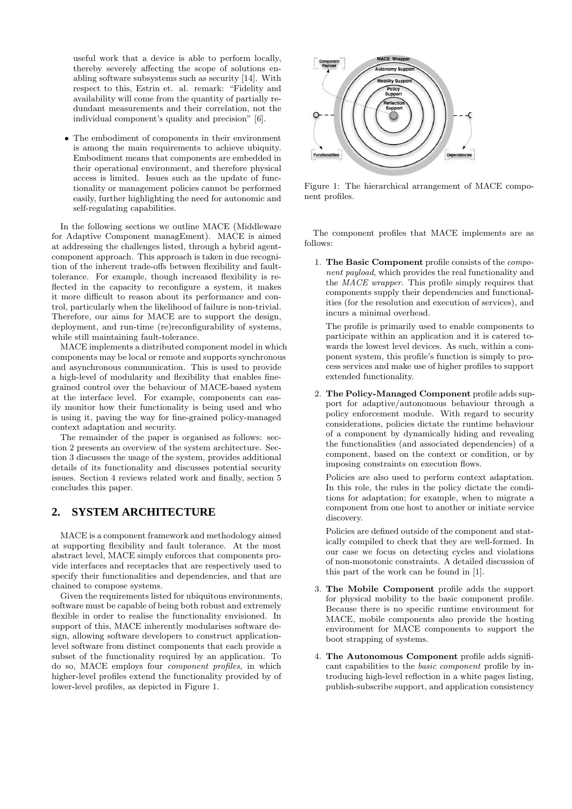useful work that a device is able to perform locally, thereby severely affecting the scope of solutions enabling software subsystems such as security [14]. With respect to this, Estrin et. al. remark: "Fidelity and availability will come from the quantity of partially redundant measurements and their correlation, not the individual component's quality and precision" [6].

• The embodiment of components in their environment is among the main requirements to achieve ubiquity. Embodiment means that components are embedded in their operational environment, and therefore physical access is limited. Issues such as the update of functionality or management policies cannot be performed easily, further highlighting the need for autonomic and self-regulating capabilities.

In the following sections we outline MACE (Middleware for Adaptive Component managEment). MACE is aimed at addressing the challenges listed, through a hybrid agentcomponent approach. This approach is taken in due recognition of the inherent trade-offs between flexibility and faulttolerance. For example, though increased flexibility is reflected in the capacity to reconfigure a system, it makes it more difficult to reason about its performance and control, particularly when the likelihood of failure is non-trivial. Therefore, our aims for MACE are to support the design, deployment, and run-time (re)reconfigurability of systems, while still maintaining fault-tolerance.

MACE implements a distributed component model in which components may be local or remote and supports synchronous and asynchronous communication. This is used to provide a high-level of modularity and flexibility that enables finegrained control over the behaviour of MACE-based system at the interface level. For example, components can easily monitor how their functionality is being used and who is using it, paving the way for fine-grained policy-managed context adaptation and security.

The remainder of the paper is organised as follows: section 2 presents an overview of the system architecture. Section 3 discusses the usage of the system, provides additional details of its functionality and discusses potential security issues. Section 4 reviews related work and finally, section 5 concludes this paper.

# **2. SYSTEM ARCHITECTURE**

MACE is a component framework and methodology aimed at supporting flexibility and fault tolerance. At the most abstract level, MACE simply enforces that components provide interfaces and receptacles that are respectively used to specify their functionalities and dependencies, and that are chained to compose systems.

Given the requirements listed for ubiquitous environments, software must be capable of being both robust and extremely flexible in order to realise the functionality envisioned. In support of this, MACE inherently modularises software design, allowing software developers to construct applicationlevel software from distinct components that each provide a subset of the functionality required by an application. To do so, MACE employs four component profiles, in which higher-level profiles extend the functionality provided by of lower-level profiles, as depicted in Figure 1.



Figure 1: The hierarchical arrangement of MACE component profiles.

The component profiles that MACE implements are as follows:

1. The Basic Component profile consists of the component payload, which provides the real functionality and the MACE wrapper. This profile simply requires that components supply their dependencies and functionalities (for the resolution and execution of services), and incurs a minimal overhead.

The profile is primarily used to enable components to participate within an application and it is catered towards the lowest level devices. As such, within a component system, this profile's function is simply to process services and make use of higher profiles to support extended functionality.

2. The Policy-Managed Component profile adds support for adaptive/autonomous behaviour through a policy enforcement module. With regard to security considerations, policies dictate the runtime behaviour of a component by dynamically hiding and revealing the functionalities (and associated dependencies) of a component, based on the context or condition, or by imposing constraints on execution flows.

Policies are also used to perform context adaptation. In this role, the rules in the policy dictate the conditions for adaptation; for example, when to migrate a component from one host to another or initiate service discovery.

Policies are defined outside of the component and statically compiled to check that they are well-formed. In our case we focus on detecting cycles and violations of non-monotonic constraints. A detailed discussion of this part of the work can be found in [1].

- 3. The Mobile Component profile adds the support for physical mobility to the basic component profile. Because there is no specific runtime environment for MACE, mobile components also provide the hosting environment for MACE components to support the boot strapping of systems.
- 4. The Autonomous Component profile adds significant capabilities to the basic component profile by introducing high-level reflection in a white pages listing, publish-subscribe support, and application consistency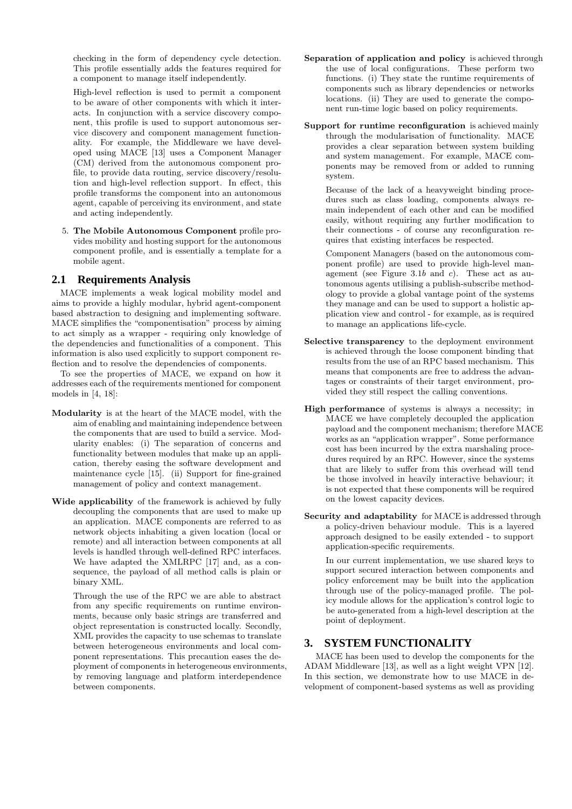checking in the form of dependency cycle detection. This profile essentially adds the features required for a component to manage itself independently.

High-level reflection is used to permit a component to be aware of other components with which it interacts. In conjunction with a service discovery component, this profile is used to support autonomous service discovery and component management functionality. For example, the Middleware we have developed using MACE [13] uses a Component Manager (CM) derived from the autonomous component profile, to provide data routing, service discovery/resolution and high-level reflection support. In effect, this profile transforms the component into an autonomous agent, capable of perceiving its environment, and state and acting independently.

5. The Mobile Autonomous Component profile provides mobility and hosting support for the autonomous component profile, and is essentially a template for a mobile agent.

# **2.1 Requirements Analysis**

MACE implements a weak logical mobility model and aims to provide a highly modular, hybrid agent-component based abstraction to designing and implementing software. MACE simplifies the "componentisation" process by aiming to act simply as a wrapper - requiring only knowledge of the dependencies and functionalities of a component. This information is also used explicitly to support component reflection and to resolve the dependencies of components.

To see the properties of MACE, we expand on how it addresses each of the requirements mentioned for component models in [4, 18]:

- Modularity is at the heart of the MACE model, with the aim of enabling and maintaining independence between the components that are used to build a service. Modularity enables: (i) The separation of concerns and functionality between modules that make up an application, thereby easing the software development and maintenance cycle [15]. (ii) Support for fine-grained management of policy and context management.
- Wide applicability of the framework is achieved by fully decoupling the components that are used to make up an application. MACE components are referred to as network objects inhabiting a given location (local or remote) and all interaction between components at all levels is handled through well-defined RPC interfaces. We have adapted the XMLRPC [17] and, as a consequence, the payload of all method calls is plain or binary XML.

Through the use of the RPC we are able to abstract from any specific requirements on runtime environments, because only basic strings are transferred and object representation is constructed locally. Secondly, XML provides the capacity to use schemas to translate between heterogeneous environments and local component representations. This precaution eases the deployment of components in heterogeneous environments, by removing language and platform interdependence between components.

- Separation of application and policy is achieved through the use of local configurations. These perform two functions. (i) They state the runtime requirements of components such as library dependencies or networks locations. (ii) They are used to generate the component run-time logic based on policy requirements.
- Support for runtime reconfiguration is achieved mainly through the modularisation of functionality. MACE provides a clear separation between system building and system management. For example, MACE components may be removed from or added to running system.

Because of the lack of a heavyweight binding procedures such as class loading, components always remain independent of each other and can be modified easily, without requiring any further modification to their connections - of course any reconfiguration requires that existing interfaces be respected.

Component Managers (based on the autonomous component profile) are used to provide high-level management (see Figure  $3.1b$  and  $c$ ). These act as autonomous agents utilising a publish-subscribe methodology to provide a global vantage point of the systems they manage and can be used to support a holistic application view and control - for example, as is required to manage an applications life-cycle.

- Selective transparency to the deployment environment is achieved through the loose component binding that results from the use of an RPC based mechanism. This means that components are free to address the advantages or constraints of their target environment, provided they still respect the calling conventions.
- High performance of systems is always a necessity; in MACE we have completely decoupled the application payload and the component mechanism; therefore MACE works as an "application wrapper". Some performance cost has been incurred by the extra marshaling procedures required by an RPC. However, since the systems that are likely to suffer from this overhead will tend be those involved in heavily interactive behaviour; it is not expected that these components will be required on the lowest capacity devices.
- Security and adaptability for MACE is addressed through a policy-driven behaviour module. This is a layered approach designed to be easily extended - to support application-specific requirements.

In our current implementation, we use shared keys to support secured interaction between components and policy enforcement may be built into the application through use of the policy-managed profile. The policy module allows for the application's control logic to be auto-generated from a high-level description at the point of deployment.

# **3. SYSTEM FUNCTIONALITY**

MACE has been used to develop the components for the ADAM Middleware [13], as well as a light weight VPN [12]. In this section, we demonstrate how to use MACE in development of component-based systems as well as providing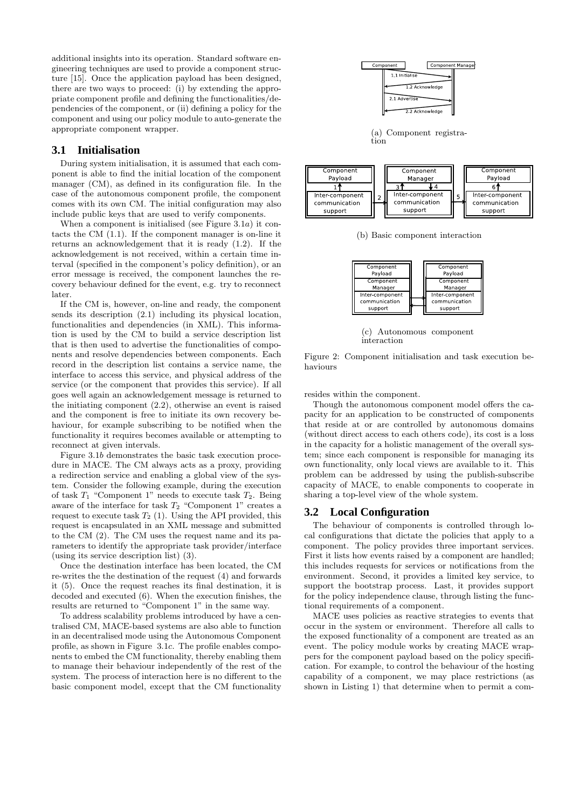additional insights into its operation. Standard software engineering techniques are used to provide a component structure [15]. Once the application payload has been designed, there are two ways to proceed: (i) by extending the appropriate component profile and defining the functionalities/dependencies of the component, or (ii) defining a policy for the component and using our policy module to auto-generate the appropriate component wrapper.

#### **3.1 Initialisation**

During system initialisation, it is assumed that each component is able to find the initial location of the component manager (CM), as defined in its configuration file. In the case of the autonomous component profile, the component comes with its own CM. The initial configuration may also include public keys that are used to verify components.

When a component is initialised (see Figure  $3.1a$ ) it contacts the CM (1.1). If the component manager is on-line it returns an acknowledgement that it is ready (1.2). If the acknowledgement is not received, within a certain time interval (specified in the component's policy definition), or an error message is received, the component launches the recovery behaviour defined for the event, e.g. try to reconnect later.

If the CM is, however, on-line and ready, the component sends its description (2.1) including its physical location, functionalities and dependencies (in XML). This information is used by the CM to build a service description list that is then used to advertise the functionalities of components and resolve dependencies between components. Each record in the description list contains a service name, the interface to access this service, and physical address of the service (or the component that provides this service). If all goes well again an acknowledgement message is returned to the initiating component (2.2), otherwise an event is raised and the component is free to initiate its own recovery behaviour, for example subscribing to be notified when the functionality it requires becomes available or attempting to reconnect at given intervals.

Figure 3.1b demonstrates the basic task execution procedure in MACE. The CM always acts as a proxy, providing a redirection service and enabling a global view of the system. Consider the following example, during the execution of task  $T_1$  "Component 1" needs to execute task  $T_2$ . Being aware of the interface for task  $T_2$  "Component 1" creates a request to execute task  $T_2$  (1). Using the API provided, this request is encapsulated in an XML message and submitted to the CM (2). The CM uses the request name and its parameters to identify the appropriate task provider/interface (using its service description list) (3).

Once the destination interface has been located, the CM re-writes the the destination of the request (4) and forwards it (5). Once the request reaches its final destination, it is decoded and executed (6). When the execution finishes, the results are returned to "Component 1" in the same way.

To address scalability problems introduced by have a centralised CM, MACE-based systems are also able to function in an decentralised mode using the Autonomous Component profile, as shown in Figure 3.1c. The profile enables components to embed the CM functionality, thereby enabling them to manage their behaviour independently of the rest of the system. The process of interaction here is no different to the basic component model, except that the CM functionality



(a) Component registration



(b) Basic component interaction



(c) Autonomous component interaction

Figure 2: Component initialisation and task execution behaviours

resides within the component.

Though the autonomous component model offers the capacity for an application to be constructed of components that reside at or are controlled by autonomous domains (without direct access to each others code), its cost is a loss in the capacity for a holistic management of the overall system; since each component is responsible for managing its own functionality, only local views are available to it. This problem can be addressed by using the publish-subscribe capacity of MACE, to enable components to cooperate in sharing a top-level view of the whole system.

### **3.2 Local Configuration**

The behaviour of components is controlled through local configurations that dictate the policies that apply to a component. The policy provides three important services. First it lists how events raised by a component are handled; this includes requests for services or notifications from the environment. Second, it provides a limited key service, to support the bootstrap process. Last, it provides support for the policy independence clause, through listing the functional requirements of a component.

MACE uses policies as reactive strategies to events that occur in the system or environment. Therefore all calls to the exposed functionality of a component are treated as an event. The policy module works by creating MACE wrappers for the component payload based on the policy specification. For example, to control the behaviour of the hosting capability of a component, we may place restrictions (as shown in Listing 1) that determine when to permit a com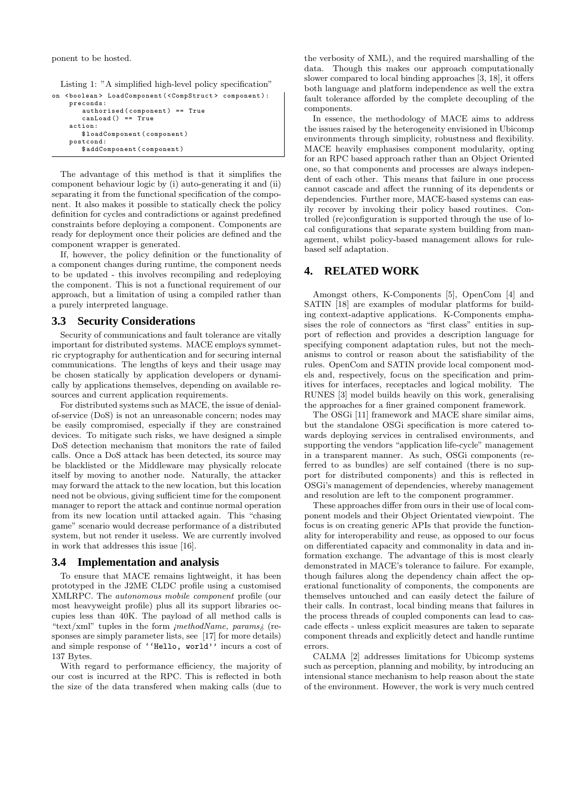ponent to be hosted.

Listing 1: "A simplified high-level policy specification" on < boolean > LoadComponent ( < CompStruct > component ):

```
preconds:
   authorised ( component ) == True
   canLoad () == True
action:
   $ loadComponent ( component )
postcond:
   $ addComponent ( component )
```
The advantage of this method is that it simplifies the component behaviour logic by (i) auto-generating it and (ii) separating it from the functional specification of the component. It also makes it possible to statically check the policy definition for cycles and contradictions or against predefined constraints before deploying a component. Components are ready for deployment once their policies are defined and the component wrapper is generated.

If, however, the policy definition or the functionality of a component changes during runtime, the component needs to be updated - this involves recompiling and redeploying the component. This is not a functional requirement of our approach, but a limitation of using a compiled rather than a purely interpreted language.

#### **3.3 Security Considerations**

Security of communications and fault tolerance are vitally important for distributed systems. MACE employs symmetric cryptography for authentication and for securing internal communications. The lengths of keys and their usage may be chosen statically by application developers or dynamically by applications themselves, depending on available resources and current application requirements.

For distributed systems such as MACE, the issue of denialof-service (DoS) is not an unreasonable concern; nodes may be easily compromised, especially if they are constrained devices. To mitigate such risks, we have designed a simple DoS detection mechanism that monitors the rate of failed calls. Once a DoS attack has been detected, its source may be blacklisted or the Middleware may physically relocate itself by moving to another node. Naturally, the attacker may forward the attack to the new location, but this location need not be obvious, giving sufficient time for the component manager to report the attack and continue normal operation from its new location until attacked again. This "chasing game" scenario would decrease performance of a distributed system, but not render it useless. We are currently involved in work that addresses this issue [16].

#### **3.4 Implementation and analysis**

To ensure that MACE remains lightweight, it has been prototyped in the J2ME CLDC profile using a customised XMLRPC. The autonomous mobile component profile (our most heavyweight profile) plus all its support libraries occupies less than 40K. The payload of all method calls is "text/xml" tuples in the form  $j$ methodName, params<sub>i</sub> (responses are simply parameter lists, see [17] for more details) and simple response of ''Hello, world'' incurs a cost of 137 Bytes.

With regard to performance efficiency, the majority of our cost is incurred at the RPC. This is reflected in both the size of the data transfered when making calls (due to

the verbosity of XML), and the required marshalling of the data. Though this makes our approach computationally slower compared to local binding approaches [3, 18], it offers both language and platform independence as well the extra fault tolerance afforded by the complete decoupling of the components.

In essence, the methodology of MACE aims to address the issues raised by the heterogeneity envisioned in Ubicomp environments through simplicity, robustness and flexibility. MACE heavily emphasises component modularity, opting for an RPC based approach rather than an Object Oriented one, so that components and processes are always independent of each other. This means that failure in one process cannot cascade and affect the running of its dependents or dependencies. Further more, MACE-based systems can easily recover by invoking their policy based routines. Controlled (re)configuration is supported through the use of local configurations that separate system building from management, whilst policy-based management allows for rulebased self adaptation.

## **4. RELATED WORK**

Amongst others, K-Components [5], OpenCom [4] and SATIN [18] are examples of modular platforms for building context-adaptive applications. K-Components emphasises the role of connectors as "first class" entities in support of reflection and provides a description language for specifying component adaptation rules, but not the mechanisms to control or reason about the satisfiability of the rules. OpenCom and SATIN provide local component models and, respectively, focus on the specification and primitives for interfaces, receptacles and logical mobility. The RUNES [3] model builds heavily on this work, generalising the approaches for a finer grained component framework.

The OSGi [11] framework and MACE share similar aims, but the standalone OSGi specification is more catered towards deploying services in centralised environments, and supporting the vendors "application life-cycle" management in a transparent manner. As such, OSGi components (referred to as bundles) are self contained (there is no support for distributed components) and this is reflected in OSGi's management of dependencies, whereby management and resolution are left to the component programmer.

These approaches differ from ours in their use of local component models and their Object Orientated viewpoint. The focus is on creating generic APIs that provide the functionality for interoperability and reuse, as opposed to our focus on differentiated capacity and commonality in data and information exchange. The advantage of this is most clearly demonstrated in MACE's tolerance to failure. For example, though failures along the dependency chain affect the operational functionality of components, the components are themselves untouched and can easily detect the failure of their calls. In contrast, local binding means that failures in the process threads of coupled components can lead to cascade effects - unless explicit measures are taken to separate component threads and explicitly detect and handle runtime errors.

CALMA [2] addresses limitations for Ubicomp systems such as perception, planning and mobility, by introducing an intensional stance mechanism to help reason about the state of the environment. However, the work is very much centred